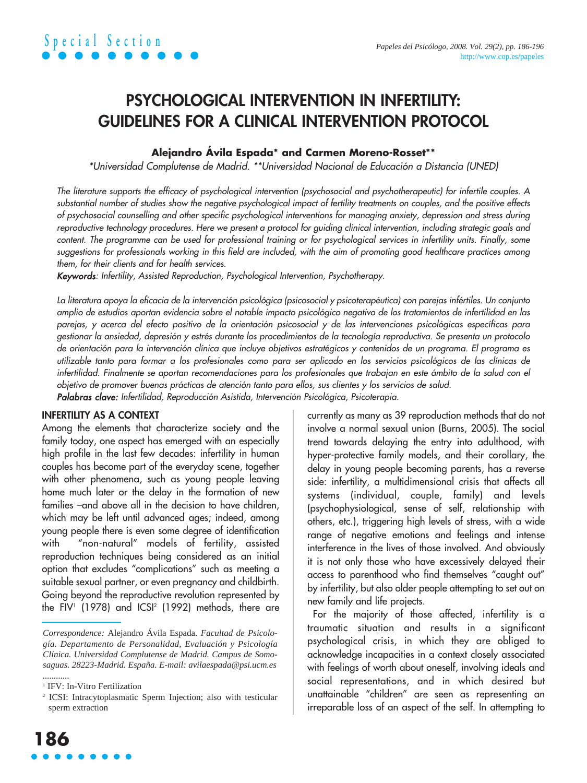## **PSYCHOLOGICAL INTERVENTION IN INFERTILITY: GUIDELINES FOR A CLINICAL INTERVENTION PROTOCOL**

### **Alejandro Ávila Espada\* and Carmen Moreno-Rosset\*\***

\*Universidad Complutense de Madrid. \*\*Universidad Nacional de Educación a Distancia (UNED)

The literature supports the efficacy of psychological intervention (psychosocial and psychotherapeutic) for infertile couples. A substantial number of studies show the negative psychological impact of fertility treatments on couples, and the positive effects of psychosocial counselling and other specific psychological interventions for managing anxiety, depression and stress during reproductive technology procedures. Here we present a protocol for guiding clinical intervention, including strategic goals and content. The programme can be used for professional training or for psychological services in infertility units. Finally, some suggestions for professionals working in this field are included, with the aim of promoting good healthcare practices among them, for their clients and for health services.

Keywords: Infertility, Assisted Reproduction, Psychological Intervention, Psychotherapy.

La literatura apoya la eficacia de la intervención psicológica (psicosocial y psicoterapéutica) con parejas infértiles. Un conjunto amplio de estudios aportan evidencia sobre el notable impacto psicológico negativo de los tratamientos de infertilidad en las parejas, y acerca del efecto positivo de la orientación psicosocial y de las intervenciones psicológicas específicas para gestionar la ansiedad, depresión y estrés durante los procedimientos de la tecnología reproductiva. Se presenta un protocolo de orientación para la intervención clínica que incluye objetivos estratégicos y contenidos de un programa. El programa es utilizable tanto para formar a los profesionales como para ser aplicado en los servicios psicológicos de las clínicas de infertilidad. Finalmente se aportan recomendaciones para los profesionales que trabajan en este ámbito de la salud con el objetivo de promover buenas prácticas de atención tanto para ellos, sus clientes y los servicios de salud.

Palabras clave: Infertilidad, Reproducción Asistida, Intervención Psicológica, Psicoterapia.

### **INFERTILITY AS A CONTEXT**

Among the elements that characterize society and the family today, one aspect has emerged with an especially high profile in the last few decades: infertility in human couples has become part of the everyday scene, together with other phenomena, such as young people leaving home much later or the delay in the formation of new families –and above all in the decision to have children, which may be left until advanced ages; indeed, among young people there is even some degree of identification with "non-natural" models of fertility, assisted reproduction techniques being considered as an initial option that excludes "complications" such as meeting a suitable sexual partner, or even pregnancy and childbirth. Going beyond the reproductive revolution represented by the FIV<sup>1</sup> (1978) and ICSI<sup>2</sup> (1992) methods, there are

currently as many as 39 reproduction methods that do not involve a normal sexual union (Burns, 2005). The social trend towards delaying the entry into adulthood, with hyper-protective family models, and their corollary, the delay in young people becoming parents, has a reverse side: infertility, a multidimensional crisis that affects all systems (individual, couple, family) and levels (psychophysiological, sense of self, relationship with others, etc.), triggering high levels of stress, with a wide range of negative emotions and feelings and intense interference in the lives of those involved. And obviously it is not only those who have excessively delayed their access to parenthood who find themselves "caught out" by infertility, but also older people attempting to set out on new family and life projects.

For the majority of those affected, infertility is a traumatic situation and results in a significant psychological crisis, in which they are obliged to acknowledge incapacities in a context closely associated with feelings of worth about oneself, involving ideals and social representations, and in which desired but unattainable "children" are seen as representing an irreparable loss of an aspect of the self. In attempting to

*Correspondence:* Alejandro Ávila Espada. *Facultad de Psicología. Departamento de Personalidad, Evaluación y Psicología Clínica. Universidad Complutense de Madrid. Campus de Somosaguas. 28223-Madrid. España. E-mail: avilaespada@psi.ucm.es ............*

<sup>1</sup> IFV: In-Vitro Fertilization

<sup>2</sup> ICSI: Intracytoplasmatic Sperm Injection; also with testicular sperm extraction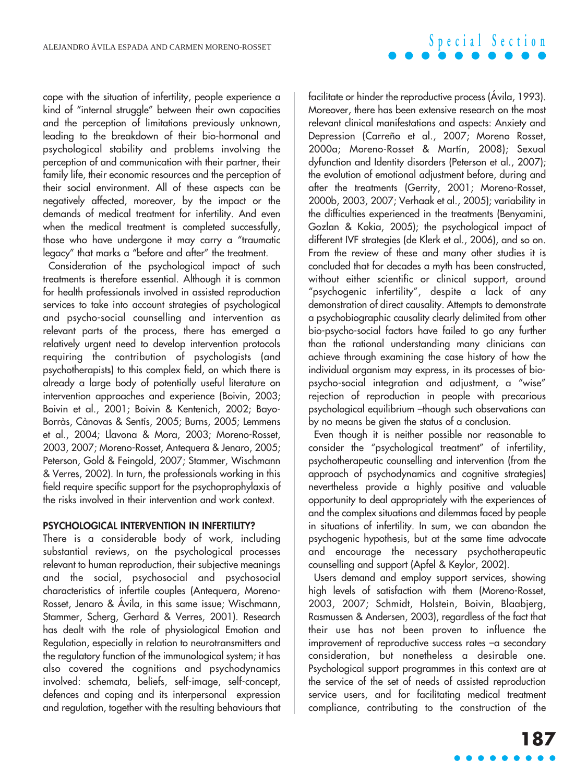cope with the situation of infertility, people experience a kind of "internal struggle" between their own capacities and the perception of limitations previously unknown, leading to the breakdown of their bio-hormonal and psychological stability and problems involving the perception of and communication with their partner, their family life, their economic resources and the perception of their social environment. All of these aspects can be negatively affected, moreover, by the impact or the demands of medical treatment for infertility. And even when the medical treatment is completed successfully, those who have undergone it may carry a "traumatic legacy" that marks a "before and after" the treatment.

Consideration of the psychological impact of such treatments is therefore essential. Although it is common for health professionals involved in assisted reproduction services to take into account strategies of psychological and psycho-social counselling and intervention as relevant parts of the process, there has emerged a relatively urgent need to develop intervention protocols requiring the contribution of psychologists (and psychotherapists) to this complex field, on which there is already a large body of potentially useful literature on intervention approaches and experience (Boivin, 2003; Boivin et al., 2001; Boivin & Kentenich, 2002; Bayo-Borràs, Cànovas & Sentís, 2005; Burns, 2005; Lemmens et al., 2004; Llavona & Mora, 2003; Moreno-Rosset, 2003, 2007; Moreno-Rosset, Antequera & Jenaro, 2005; Peterson, Gold & Feingold, 2007; Stammer, Wischmann & Verres, 2002). In turn, the professionals working in this field require specific support for the psychoprophylaxis of the risks involved in their intervention and work context.

### **PSYCHOLOGICAL INTERVENTION IN INFERTILITY?**

There is a considerable body of work, including substantial reviews, on the psychological processes relevant to human reproduction, their subjective meanings and the social, psychosocial and psychosocial characteristics of infertile couples (Antequera, Moreno-Rosset, Jenaro & Ávila, in this same issue; Wischmann, Stammer, Scherg, Gerhard & Verres, 2001). Research has dealt with the role of physiological Emotion and Regulation, especially in relation to neurotransmitters and the regulatory function of the immunological system; it has also covered the cognitions and psychodynamics involved: schemata, beliefs, self-image, self-concept, defences and coping and its interpersonal expression and regulation, together with the resulting behaviours that

facilitate or hinder the reproductive process (Ávila, 1993). Moreover, there has been extensive research on the most relevant clinical manifestations and aspects: Anxiety and Depression (Carreño et al., 2007; Moreno Rosset, 2000a; Moreno-Rosset & Martín, 2008); Sexual dyfunction and Identity disorders (Peterson et al., 2007); the evolution of emotional adjustment before, during and after the treatments (Gerrity, 2001; Moreno-Rosset, 2000b, 2003, 2007; Verhaak et al., 2005); variability in the difficulties experienced in the treatments (Benyamini, Gozlan & Kokia, 2005); the psychological impact of different IVF strategies (de Klerk et al., 2006), and so on. From the review of these and many other studies it is concluded that for decades a myth has been constructed, without either scientific or clinical support, around "psychogenic infertility", despite a lack of any demonstration of direct causality. Attempts to demonstrate a psychobiographic causality clearly delimited from other bio-psycho-social factors have failed to go any further than the rational understanding many clinicians can achieve through examining the case history of how the individual organism may express, in its processes of biopsycho-social integration and adjustment, a "wise" rejection of reproduction in people with precarious psychological equilibrium –though such observations can by no means be given the status of a conclusion.

Even though it is neither possible nor reasonable to consider the "psychological treatment" of infertility, psychotherapeutic counselling and intervention (from the approach of psychodynamics and cognitive strategies) nevertheless provide a highly positive and valuable opportunity to deal appropriately with the experiences of and the complex situations and dilemmas faced by people in situations of infertility. In sum, we can abandon the psychogenic hypothesis, but at the same time advocate and encourage the necessary psychotherapeutic counselling and support (Apfel & Keylor, 2002).

Users demand and employ support services, showing high levels of satisfaction with them (Moreno-Rosset, 2003, 2007; Schmidt, Holstein, Boivin, Blaabjerg, Rasmussen & Andersen, 2003), regardless of the fact that their use has not been proven to influence the improvement of reproductive success rates –a secondary consideration, but nonetheless a desirable one. Psychological support programmes in this context are at the service of the set of needs of assisted reproduction service users, and for facilitating medical treatment compliance, contributing to the construction of the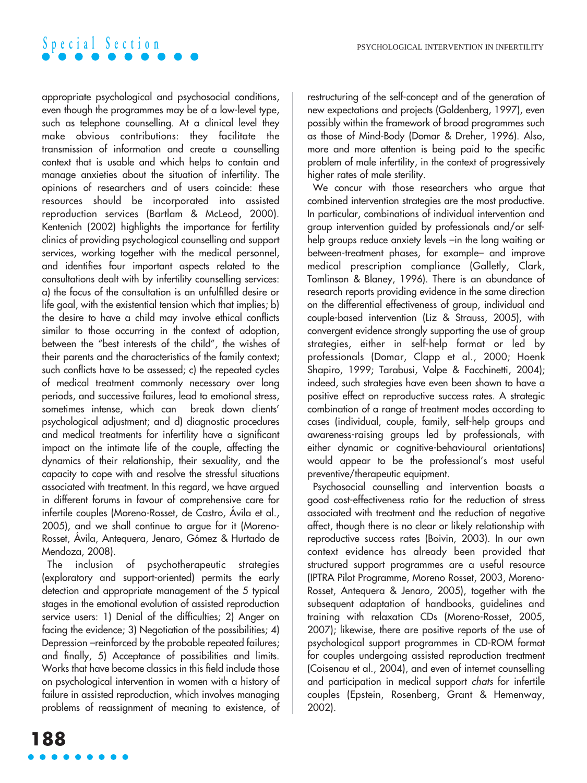appropriate psychological and psychosocial conditions, even though the programmes may be of a low-level type, such as telephone counselling. At a clinical level they make obvious contributions: they facilitate the transmission of information and create a counselling context that is usable and which helps to contain and manage anxieties about the situation of infertility. The opinions of researchers and of users coincide: these resources should be incorporated into assisted reproduction services (Bartlam & McLeod, 2000). Kentenich (2002) highlights the importance for fertility clinics of providing psychological counselling and support services, working together with the medical personnel, and identifies four important aspects related to the consultations dealt with by infertility counselling services: a) the focus of the consultation is an unfulfilled desire or life goal, with the existential tension which that implies; b) the desire to have a child may involve ethical conflicts similar to those occurring in the context of adoption, between the "best interests of the child", the wishes of their parents and the characteristics of the family context; such conflicts have to be assessed; c) the repeated cycles of medical treatment commonly necessary over long periods, and successive failures, lead to emotional stress, sometimes intense, which can break down clients' psychological adjustment; and d) diagnostic procedures and medical treatments for infertility have a significant impact on the intimate life of the couple, affecting the dynamics of their relationship, their sexuality, and the capacity to cope with and resolve the stressful situations associated with treatment. In this regard, we have argued in different forums in favour of comprehensive care for infertile couples (Moreno-Rosset, de Castro, Ávila et al., 2005), and we shall continue to argue for it (Moreno-Rosset, Ávila, Antequera, Jenaro, Gómez & Hurtado de Mendoza, 2008).

The inclusion of psychotherapeutic strategies (exploratory and support-oriented) permits the early detection and appropriate management of the 5 typical stages in the emotional evolution of assisted reproduction service users: 1) Denial of the difficulties; 2) Anger on facing the evidence; 3) Negotiation of the possibilities; 4) Depression –reinforced by the probable repeated failures; and finally, 5) Acceptance of possibilities and limits. Works that have become classics in this field include those on psychological intervention in women with a history of failure in assisted reproduction, which involves managing problems of reassignment of meaning to existence, of restructuring of the self-concept and of the generation of new expectations and projects (Goldenberg, 1997), even possibly within the framework of broad programmes such as those of Mind-Body (Domar & Dreher, 1996). Also, more and more attention is being paid to the specific problem of male infertility, in the context of progressively higher rates of male sterility.

We concur with those researchers who argue that combined intervention strategies are the most productive. In particular, combinations of individual intervention and group intervention guided by professionals and/or selfhelp groups reduce anxiety levels –in the long waiting or between-treatment phases, for example– and improve medical prescription compliance (Galletly, Clark, Tomlinson & Blaney, 1996). There is an abundance of research reports providing evidence in the same direction on the differential effectiveness of group, individual and couple-based intervention (Liz & Strauss, 2005), with convergent evidence strongly supporting the use of group strategies, either in self-help format or led by professionals (Domar, Clapp et al., 2000; Hoenk Shapiro, 1999; Tarabusi, Volpe & Facchinetti, 2004); indeed, such strategies have even been shown to have a positive effect on reproductive success rates. A strategic combination of a range of treatment modes according to cases (individual, couple, family, self-help groups and awareness-raising groups led by professionals, with either dynamic or cognitive-behavioural orientations) would appear to be the professional's most useful preventive/therapeutic equipment.

Psychosocial counselling and intervention boasts a good cost-effectiveness ratio for the reduction of stress associated with treatment and the reduction of negative affect, though there is no clear or likely relationship with reproductive success rates (Boivin, 2003). In our own context evidence has already been provided that structured support programmes are a useful resource (IPTRA Pilot Programme, Moreno Rosset, 2003, Moreno-Rosset, Antequera & Jenaro, 2005), together with the subsequent adaptation of handbooks, guidelines and training with relaxation CDs (Moreno-Rosset, 2005, 2007); likewise, there are positive reports of the use of psychological support programmes in CD-ROM format for couples undergoing assisted reproduction treatment (Coisenau et al., 2004), and even of internet counselling and participation in medical support chats for infertile couples (Epstein, Rosenberg, Grant & Hemenway, 2002).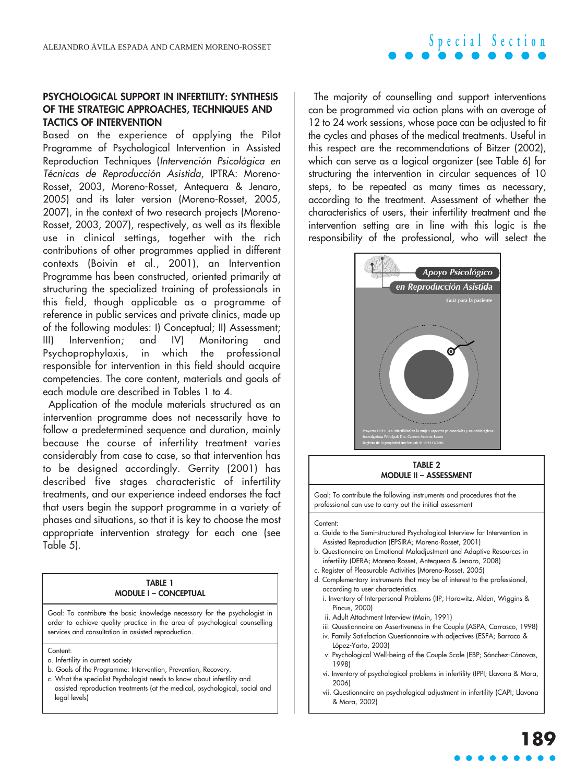### **PSYCHOLOGICAL SUPPORT IN INFERTILITY: SYNTHESIS OF THE STRATEGIC APPROACHES, TECHNIQUES AND TACTICS OF INTERVENTION**

Based on the experience of applying the Pilot Programme of Psychological Intervention in Assisted Reproduction Techniques (Intervención Psicológica en Técnicas de Reproducción Asistida, IPTRA: Moreno-Rosset, 2003, Moreno-Rosset, Antequera & Jenaro, 2005) and its later version (Moreno-Rosset, 2005, 2007), in the context of two research projects (Moreno-Rosset, 2003, 2007), respectively, as well as its flexible use in clinical settings, together with the rich contributions of other programmes applied in different contexts (Boivin et al., 2001), an Intervention Programme has been constructed, oriented primarily at structuring the specialized training of professionals in this field, though applicable as a programme of reference in public services and private clinics, made up of the following modules: I) Conceptual; II) Assessment; III) Intervention; and IV) Monitoring and Psychoprophylaxis, in which the professional responsible for intervention in this field should acquire competencies. The core content, materials and goals of each module are described in Tables 1 to 4.

Application of the module materials structured as an intervention programme does not necessarily have to follow a predetermined sequence and duration, mainly because the course of infertility treatment varies considerably from case to case, so that intervention has to be designed accordingly. Gerrity (2001) has described five stages characteristic of infertility treatments, and our experience indeed endorses the fact that users begin the support programme in a variety of phases and situations, so that it is key to choose the most appropriate intervention strategy for each one (see Table 5).

#### **TABLE 1 MODULE I – CONCEPTUAL**

Goal: To contribute the basic knowledge necessary for the psychologist in order to achieve quality practice in the area of psychological counselling services and consultation in assisted reproduction.

- Content:
- a. Infertility in current society
- b. Goals of the Programme: Intervention, Prevention, Recovery.
- c. What the specialist Psychologist needs to know about infertility and assisted reproduction treatments (at the medical, psychological, social and legal levels)

The majority of counselling and support interventions can be programmed via action plans with an average of 12 to 24 work sessions, whose pace can be adjusted to fit the cycles and phases of the medical treatments. Useful in this respect are the recommendations of Bitzer (2002), which can serve as a logical organizer (see Table 6) for structuring the intervention in circular sequences of 10 steps, to be repeated as many times as necessary, according to the treatment. Assessment of whether the characteristics of users, their infertility treatment and the intervention setting are in line with this logic is the responsibility of the professional, who will select the

**Special Section**



**TABLE 2 MODULE II – ASSESSMENT**

Goal: To contribute the following instruments and procedures that the professional can use to carry out the initial assessment

#### Content:

- a. Guide to the Semi-structured Psychological Interview for Intervention in Assisted Reproduction (EPSIRA; Moreno-Rosset, 2001)
- b. Questionnaire on Emotional Maladjustment and Adaptive Resources in infertility (DERA; Moreno-Rosset, Antequera & Jenaro, 2008)
- c. Register of Pleasurable Activities (Moreno-Rosset, 2005)
- d. Complementary instruments that may be of interest to the professional, according to user characteristics.
	- i. Inventory of Interpersonal Problems (IIP; Horowitz, Alden, Wiggins & Pincus, 2000)
	- ii. Adult Attachment Interview (Main, 1991)
	- iii. Questionnaire on Assertiveness in the Couple (ASPA; Carrasco, 1998)
	- iv. Family Satisfaction Questionnaire with adjectives (ESFA; Barraca & López-Yarto, 2003)
	- v. Psychological Well-being of the Couple Scale (EBP; Sánchez-Cánovas, 1998)
	- vi. Inventory of psychological problems in infertility (IPPI; Llavona & Mora, 2006)
	- vii. Questionnaire on psychological adjustment in infertility (CAPI; Llavona & Mora, 2002)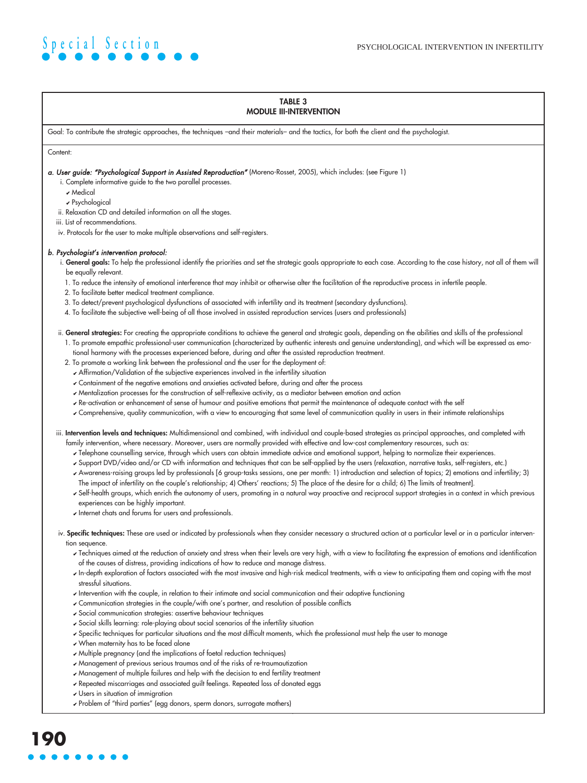

#### **TABLE 3 MODULE III-INTERVENTION**

Goal: To contribute the strategic approaches, the techniques –and their materials– and the tactics, for both the client and the psychologist.

Content:

- a. User guide: "Psychological Support in Assisted Reproduction" (Moreno-Rosset, 2005), which includes: (see Figure 1)
	- i. Complete informative guide to the two parallel processes.
	- ✔ Medical
	- ✔ Psychological
	- ii. Relaxation CD and detailed information on all the stages.
	- iii. List of recommendations.
	- iv. Protocols for the user to make multiple observations and self-registers.

#### b. Psychologist's intervention protocol:

- i. General goals: To help the professional identify the priorities and set the strategic goals appropriate to each case. According to the case history, not all of them will be equally relevant.
- 1. To reduce the intensity of emotional interference that may inhibit or otherwise alter the facilitation of the reproductive process in infertile people.
- 2. To facilitate better medical treatment compliance.
- 3. To detect/prevent psychological dysfunctions of associated with infertility and its treatment (secondary dysfunctions).
- 4. To facilitate the subjective well-being of all those involved in assisted reproduction services (users and professionals)
- ii. **General strategies:** For creating the appropriate conditions to achieve the general and strategic goals, depending on the abilities and skills of the professional
	- 1. To promote empathic professional-user communication (characterized by authentic interests and genuine understanding), and which will be expressed as emotional harmony with the processes experienced before, during and after the assisted reproduction treatment.
	- 2. To promote a working link between the professional and the user for the deployment of:
	- ✔ Affirmation/Validation of the subjective experiences involved in the infertility situation
	- ✔ Containment of the negative emotions and anxieties activated before, during and after the process
	- ✔ Mentalization processes for the construction of self-reflexive activity, as a mediator between emotion and action
	- ✔ Re-activation or enhancement of sense of humour and positive emotions that permit the maintenance of adequate contact with the self
	- ✔ Comprehensive, quality communication, with a view to encouraging that same level of communication quality in users in their intimate relationships
- iii. Intervention levels and techniques: Multidimensional and combined, with individual and couple-based strategies as principal approaches, and completed with family intervention, where necessary. Moreover, users are normally provided with effective and low-cost complementary resources, such as:
	- ✔ Telephone counselling service, through which users can obtain immediate advice and emotional support, helping to normalize their experiences.
	- ✔ Support DVD/video and/or CD with information and techniques that can be self-applied by the users (relaxation, narrative tasks, self-registers, etc.)
	- ✔ Awareness-raising groups led by professionals [6 group-tasks sessions, one per month: 1) introduction and selection of topics; 2) emotions and infertility; 3) The impact of infertility on the couple's relationship; 4) Others' reactions; 5) The place of the desire for a child; 6) The limits of treatment].
	- ✔ Self-health groups, which enrich the autonomy of users, promoting in a natural way proactive and reciprocal support strategies in a context in which previous experiences can be highly important.
	- ✔ Internet chats and forums for users and professionals.
- iv. **Specific techniques:** These are used or indicated by professionals when they consider necessary a structured action at a particular level or in a particular intervention sequence.
	- ✔ Techniques aimed at the reduction of anxiety and stress when their levels are very high, with a view to facilitating the expression of emotions and identification of the causes of distress, providing indications of how to reduce and manage distress.
	- ✔ In-depth exploration of factors associated with the most invasive and high-risk medical treatments, with a view to anticipating them and coping with the most stressful situations.
	- ✔ Intervention with the couple, in relation to their intimate and social communication and their adaptive functioning
	- ✔ Communication strategies in the couple/with one's partner, and resolution of possible conflicts
	- ✔ Social communication strategies: assertive behaviour techniques
	- ✔ Social skills learning: role-playing about social scenarios of the infertility situation
	- ✔ Specific techniques for particular situations and the most difficult moments, which the professional must help the user to manage
	- ✔ When maternity has to be faced alone
	- ✔ Multiple pregnancy (and the implications of foetal reduction techniques)
	- ✔ Management of previous serious traumas and of the risks of re-traumautization
	- ✔ Management of multiple failures and help with the decision to end fertility treatment
	- ✔ Repeated miscarriages and associated guilt feelings. Repeated loss of donated eggs
	- ✔ Users in situation of immigration
	- ✔ Problem of "third parties" (egg donors, sperm donors, surrogate mothers)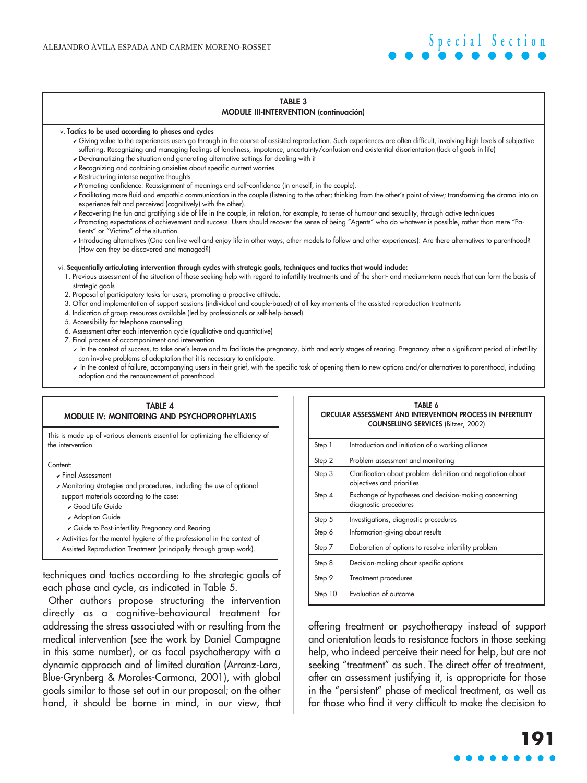#### **TABLE 3 MODULE III-INTERVENTION (continuación)**

#### v. **Tactics to be used according to phases and cycles**

- ✔ Giving value to the experiences users go through in the course of assisted reproduction. Such experiences are often difficult, involving high levels of subjective suffering. Recognizing and managing feelings of loneliness, impotence, uncertainty/confusion and existential disorientation (lack of goals in life)
- ✔ De-dramatizing the situation and generating alternative settings for dealing with it
- ✔ Recognizing and containing anxieties about specific current worries
- $\boldsymbol{\nu}$  Restructuring intense negative thoughts
- ✔ Promoting confidence: Reassignment of meanings and self-confidence (in oneself, in the couple).
- ✔ Facilitating more fluid and empathic communication in the couple (listening to the other; thinking from the other's point of view; transforming the drama into an experience felt and perceived (cognitively) with the other).
- ✔ Recovering the fun and gratifying side of life in the couple, in relation, for example, to sense of humour and sexuality, through active techniques
- ✔ Promoting expectations of achievement and success. Users should recover the sense of being "Agents" who do whatever is possible, rather than mere "Patients" or "Victims" of the situation.
- ✔ Introducing alternatives (One can live well and enjoy life in other ways; other models to follow and other experiences): Are there alternatives to parenthood? (How can they be discovered and managed?)

#### vi. **Sequentially articulating intervention through cycles with strategic goals, techniques and tactics that would include:**

- 1. Previous assessment of the situation of those seeking help with regard to infertility treatments and of the short- and medium-term needs that can form the basis of strategic goals
- 2. Proposal of participatory tasks for users, promoting a proactive attitude.
- 3. Offer and implementation of support sessions (individual and couple-based) at all key moments of the assisted reproduction treatments
- 4. Indication of group resources available (led by professionals or self-help-based).
- 5. Accessibility for telephone counselling
- 6. Assessment after each intervention cycle (qualitative and quantitative)
- 7. Final process of accompaniment and intervention
	- ✔ In the context of success, to take one's leave and to facilitate the pregnancy, birth and early stages of rearing. Pregnancy after a significant period of infertility can involve problems of adaptation that it is necessary to anticipate.
	- ✔ In the context of failure, accompanying users in their grief, with the specific task of opening them to new options and/or alternatives to parenthood, including adoption and the renouncement of parenthood.

#### **TABLE 4 MODULE IV: MONITORING AND PSYCHOPROPHYLAXIS**

This is made up of various elements essential for optimizing the efficiency of the intervention.

Content:

- ✔ Final Assessment
- ✔ Monitoring strategies and procedures, including the use of optional support materials according to the case:
	- ✔ Good Life Guide
	- ✔ Adoption Guide
	- ✔ Guide to Post-infertility Pregnancy and Rearing
- ✔ Activities for the mental hygiene of the professional in the context of Assisted Reproduction Treatment (principally through group work).

techniques and tactics according to the strategic goals of each phase and cycle, as indicated in Table 5.

Other authors propose structuring the intervention directly as a cognitive-behavioural treatment for addressing the stress associated with or resulting from the medical intervention (see the work by Daniel Campagne in this same number), or as focal psychotherapy with a dynamic approach and of limited duration (Arranz-Lara, Blue-Grynberg & Morales-Carmona, 2001), with global goals similar to those set out in our proposal; on the other hand, it should be borne in mind, in our view, that

## **TABLE 6 CIRCULAR ASSESSMENT AND INTERVENTION PROCESS IN INFERTILITY COUNSELLING SERVICES** (Bitzer, 2002)

**Special Section**

| Step 1  | Introduction and initiation of a working alliance                                         |
|---------|-------------------------------------------------------------------------------------------|
| Step 2  | Problem assessment and monitoring                                                         |
| Step 3  | Clarification about problem definition and negotiation about<br>objectives and priorities |
| Step 4  | Exchange of hypotheses and decision-making concerning<br>diagnostic procedures            |
| Step 5  | Investigations, diagnostic procedures                                                     |
| Step 6  | Information-giving about results                                                          |
| Step 7  | Elaboration of options to resolve infertility problem                                     |
| Step 8  | Decision-making about specific options                                                    |
| Step 9  | Treatment procedures                                                                      |
| Step 10 | Evaluation of outcome                                                                     |

offering treatment or psychotherapy instead of support and orientation leads to resistance factors in those seeking help, who indeed perceive their need for help, but are not seeking "treatment" as such. The direct offer of treatment, after an assessment justifying it, is appropriate for those in the "persistent" phase of medical treatment, as well as for those who find it very difficult to make the decision to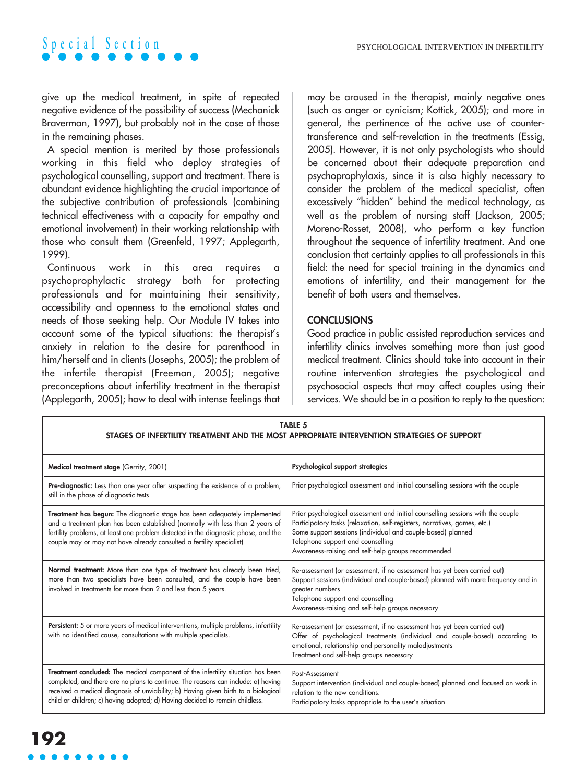give up the medical treatment, in spite of repeated negative evidence of the possibility of success (Mechanick Braverman, 1997), but probably not in the case of those in the remaining phases.

A special mention is merited by those professionals working in this field who deploy strategies of psychological counselling, support and treatment. There is abundant evidence highlighting the crucial importance of the subjective contribution of professionals (combining technical effectiveness with a capacity for empathy and emotional involvement) in their working relationship with those who consult them (Greenfeld, 1997; Applegarth, 1999).

Continuous work in this area requires a psychoprophylactic strategy both for protecting professionals and for maintaining their sensitivity, accessibility and openness to the emotional states and needs of those seeking help. Our Module IV takes into account some of the typical situations: the therapist's anxiety in relation to the desire for parenthood in him/herself and in clients (Josephs, 2005); the problem of the infertile therapist (Freeman, 2005); negative preconceptions about infertility treatment in the therapist (Applegarth, 2005); how to deal with intense feelings that may be aroused in the therapist, mainly negative ones (such as anger or cynicism; Kottick, 2005); and more in general, the pertinence of the active use of countertransference and self-revelation in the treatments (Essig, 2005). However, it is not only psychologists who should be concerned about their adequate preparation and psychoprophylaxis, since it is also highly necessary to consider the problem of the medical specialist, often excessively "hidden" behind the medical technology, as well as the problem of nursing staff (Jackson, 2005; Moreno-Rosset, 2008), who perform a key function throughout the sequence of infertility treatment. And one conclusion that certainly applies to all professionals in this field: the need for special training in the dynamics and emotions of infertility, and their management for the benefit of both users and themselves.

### **CONCLUSIONS**

Good practice in public assisted reproduction services and infertility clinics involves something more than just good medical treatment. Clinics should take into account in their routine intervention strategies the psychological and psychosocial aspects that may affect couples using their services. We should be in a position to reply to the question:

| <b>TABLE 5</b><br>STAGES OF INFERTILITY TREATMENT AND THE MOST APPROPRIATE INTERVENTION STRATEGIES OF SUPPORT                                                                                                                                                                                                                               |                                                                                                                                                                                                                                                                                                                        |  |  |
|---------------------------------------------------------------------------------------------------------------------------------------------------------------------------------------------------------------------------------------------------------------------------------------------------------------------------------------------|------------------------------------------------------------------------------------------------------------------------------------------------------------------------------------------------------------------------------------------------------------------------------------------------------------------------|--|--|
| Medical treatment stage (Gerrity, 2001)                                                                                                                                                                                                                                                                                                     | Psychological support strategies                                                                                                                                                                                                                                                                                       |  |  |
| Pre-diagnostic: Less than one year after suspecting the existence of a problem,<br>still in the phase of diagnostic tests                                                                                                                                                                                                                   | Prior psychological assessment and initial counselling sessions with the couple                                                                                                                                                                                                                                        |  |  |
| Treatment has begun: The diagnostic stage has been adequately implemented<br>and a treatment plan has been established (normally with less than 2 years of<br>fertility problems, at least one problem detected in the diagnostic phase, and the<br>couple may or may not have already consulted a fertility specialist)                    | Prior psychological assessment and initial counselling sessions with the couple<br>Participatory tasks (relaxation, self-registers, narratives, games, etc.)<br>Some support sessions (individual and couple-based) planned<br>Telephone support and counselling<br>Awareness-raising and self-help groups recommended |  |  |
| Normal treatment: More than one type of treatment has already been tried,<br>more than two specialists have been consulted, and the couple have been<br>involved in treatments for more than 2 and less than 5 years.                                                                                                                       | Re-assessment (or assessment, if no assessment has yet been carried out)<br>Support sessions (individual and couple-based) planned with more frequency and in<br>greater numbers<br>Telephone support and counselling<br>Awareness-raising and self-help groups necessary                                              |  |  |
| Persistent: 5 or more years of medical interventions, multiple problems, infertility<br>with no identified cause, consultations with multiple specialists.                                                                                                                                                                                  | Re-assessment (or assessment, if no assessment has yet been carried out)<br>Offer of psychological treatments (individual and couple-based) according to<br>emotional, relationship and personality maladjustments<br>Treatment and self-help groups necessary                                                         |  |  |
| Treatment concluded: The medical component of the infertility situation has been<br>completed, and there are no plans to continue. The reasons can include: a) having<br>received a medical diagnosis of unviability; b) Having given birth to a biological<br>child or children; c) having adopted; d) Having decided to remain childless. | Post-Assessment<br>Support intervention (individual and couple-based) planned and focused on work in<br>relation to the new conditions.<br>Participatory tasks appropriate to the user's situation                                                                                                                     |  |  |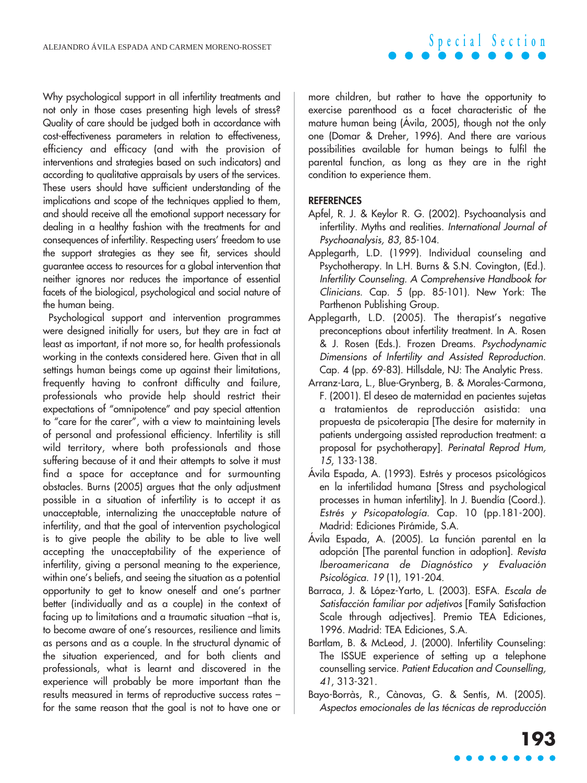Why psychological support in all infertility treatments and not only in those cases presenting high levels of stress? Quality of care should be judged both in accordance with cost-effectiveness parameters in relation to effectiveness, efficiency and efficacy (and with the provision of interventions and strategies based on such indicators) and according to qualitative appraisals by users of the services. These users should have sufficient understanding of the implications and scope of the techniques applied to them, and should receive all the emotional support necessary for dealing in a healthy fashion with the treatments for and consequences of infertility. Respecting users' freedom to use the support strategies as they see fit, services should guarantee access to resources for a global intervention that neither ignores nor reduces the importance of essential facets of the biological, psychological and social nature of the human being.

Psychological support and intervention programmes were designed initially for users, but they are in fact at least as important, if not more so, for health professionals working in the contexts considered here. Given that in all settings human beings come up against their limitations, frequently having to confront difficulty and failure, professionals who provide help should restrict their expectations of "omnipotence" and pay special attention to "care for the carer", with a view to maintaining levels of personal and professional efficiency. Infertility is still wild territory, where both professionals and those suffering because of it and their attempts to solve it must find a space for acceptance and for surmounting obstacles. Burns (2005) argues that the only adjustment possible in a situation of infertility is to accept it as unacceptable, internalizing the unacceptable nature of infertility, and that the goal of intervention psychological is to give people the ability to be able to live well accepting the unacceptability of the experience of infertility, giving a personal meaning to the experience, within one's beliefs, and seeing the situation as a potential opportunity to get to know oneself and one's partner better (individually and as a couple) in the context of facing up to limitations and a traumatic situation -that is, to become aware of one's resources, resilience and limits as persons and as a couple. In the structural dynamic of the situation experienced, and for both clients and professionals, what is learnt and discovered in the experience will probably be more important than the results measured in terms of reproductive success rates – for the same reason that the goal is not to have one or

more children, but rather to have the opportunity to exercise parenthood as a facet characteristic of the mature human being (Ávila, 2005), though not the only one (Domar & Dreher, 1996). And there are various possibilities available for human beings to fulfil the parental function, as long as they are in the right condition to experience them.

### **REFERENCES**

- Apfel, R. J. & Keylor R. G. (2002). Psychoanalysis and infertility. Myths and realities. International Journal of Psychoanalysis, 83, 85-104.
- Applegarth, L.D. (1999). Individual counseling and Psychotherapy. In L.H. Burns & S.N. Covington, (Ed.). Infertility Counseling. A Comprehensive Handbook for Clinicians. Cap. 5 (pp. 85-101). New York: The Parthenon Publishing Group.
- Applegarth, L.D. (2005). The therapist's negative preconceptions about infertility treatment. In A. Rosen & J. Rosen (Eds.). Frozen Dreams. Psychodynamic Dimensions of Infertility and Assisted Reproduction. Cap. 4 (pp. 69-83). Hillsdale, NJ: The Analytic Press.
- Arranz-Lara, L., Blue-Grynberg, B. & Morales-Carmona, F. (2001). El deseo de maternidad en pacientes sujetas a tratamientos de reproducción asistida: una propuesta de psicoterapia [The desire for maternity in patients undergoing assisted reproduction treatment: a proposal for psychotherapy]. Perinatal Reprod Hum, 15, 133-138.
- Ávila Espada, A. (1993). Estrés y procesos psicológicos en la infertilidad humana [Stress and psychological processes in human infertility]. In J. Buendía (Coord.). Estrés y Psicopatología. Cap. 10 (pp.181-200). Madrid: Ediciones Pirámide, S.A.
- Ávila Espada, A. (2005). La función parental en la adopción [The parental function in adoption]. Revista Iberoamericana de Diagnóstico y Evaluación Psicológica. 19 (1), 191-204.
- Barraca, J. & López-Yarto, L. (2003). ESFA. Escala de Satisfacción familiar por adjetivos [Family Satisfaction Scale through adjectives]. Premio TEA Ediciones, 1996. Madrid: TEA Ediciones, S.A.
- Bartlam, B. & McLeod, J. (2000). Infertility Counseling: The ISSUE experience of setting up a telephone counselling service. Patient Education and Counselling, 41, 313-321.
- Bayo-Borràs, R., Cànovas, G. & Sentís, M. (2005). Aspectos emocionales de las técnicas de reproducción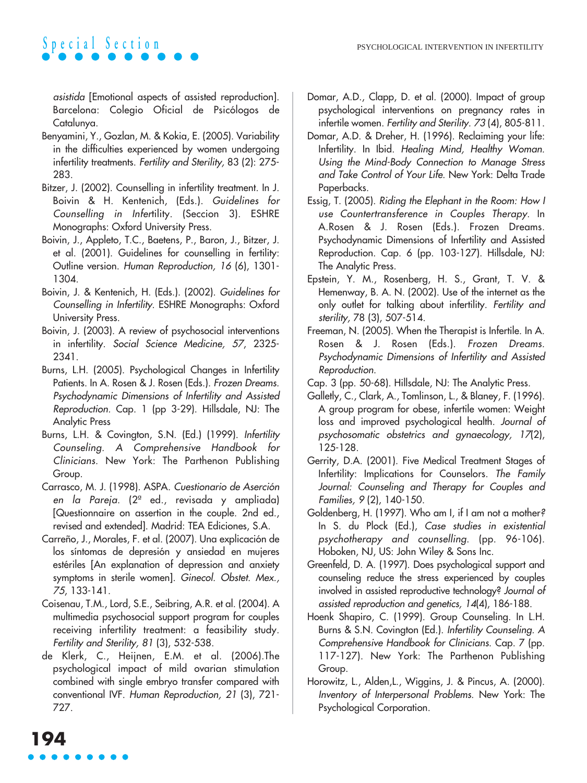asistida [Emotional aspects of assisted reproduction]. Barcelona: Colegio Oficial de Psicólogos de Catalunya.

- Benyamini, Y., Gozlan, M. & Kokia, E. (2005). Variability in the difficulties experienced by women undergoing infertility treatments. Fertility and Sterility, 83 (2): 275-283.
- Bitzer, J. (2002). Counselling in infertility treatment. In J. Boivin & H. Kentenich, (Eds.). Guidelines for Counselling in Infertility. (Seccion 3). ESHRE Monographs: Oxford University Press.
- Boivin, J., Appleto, T.C., Baetens, P., Baron, J., Bitzer, J. et al. (2001). Guidelines for counselling in fertility: Outline version. Human Reproduction, 16 (6), 1301- 1304.
- Boivin, J. & Kentenich, H. (Eds.). (2002). Guidelines for Counselling in Infertility. ESHRE Monographs: Oxford University Press.
- Boivin, J. (2003). A review of psychosocial interventions in infertility. Social Science Medicine, 57, 2325- 2341.
- Burns, L.H. (2005). Psychological Changes in Infertility Patients. In A. Rosen & J. Rosen (Eds.). Frozen Dreams. Psychodynamic Dimensions of Infertility and Assisted Reproduction. Cap. 1 (pp 3-29). Hillsdale, NJ: The Analytic Press
- Burns, L.H. & Covington, S.N. (Ed.) (1999). Infertility Counseling. A Comprehensive Handbook for Clinicians. New York: The Parthenon Publishing Group.
- Carrasco, M. J. (1998). ASPA. Cuestionario de Aserción en la Pareja. (2ª ed., revisada y ampliada) [Questionnaire on assertion in the couple. 2nd ed., revised and extended]. Madrid: TEA Ediciones, S.A.
- Carreño, J., Morales, F. et al. (2007). Una explicación de los síntomas de depresión y ansiedad en mujeres estériles [An explanation of depression and anxiety symptoms in sterile women]. Ginecol. Obstet. Mex., 75, 133-141.
- Coisenau, T.M., Lord, S.E., Seibring, A.R. et al. (2004). A multimedia psychosocial support program for couples receiving infertility treatment: a feasibility study. Fertility and Sterility, 81 (3), 532-538.
- de Klerk, C., Heijnen, E.M. et al. (2006).The psychological impact of mild ovarian stimulation combined with single embryo transfer compared with conventional IVF. Human Reproduction, 21 (3), 721- 727.
- Domar, A.D., Clapp, D. et al. (2000). Impact of group psychological interventions on pregnancy rates in infertile women. Fertility and Sterility. 73 (4), 805-811.
- Domar, A.D. & Dreher, H. (1996). Reclaiming your life: Infertility. In Ibid. Healing Mind, Healthy Woman. Using the Mind-Body Connection to Manage Stress and Take Control of Your Life. New York: Delta Trade Paperbacks.
- Essig, T. (2005). Riding the Elephant in the Room: How I use Countertransference in Couples Therapy. In A.Rosen & J. Rosen (Eds.). Frozen Dreams. Psychodynamic Dimensions of Infertility and Assisted Reproduction. Cap. 6 (pp. 103-127). Hillsdale, NJ: The Analytic Press.
- Epstein, Y. M., Rosenberg, H. S., Grant, T. V. & Hemenway, B. A. N. (2002). Use of the internet as the only outlet for talking about infertility. Fertility and sterility, 78 (3), 507-514.
- Freeman, N. (2005). When the Therapist is Infertile. In A. Rosen & J. Rosen (Eds.). Frozen Dreams. Psychodynamic Dimensions of Infertility and Assisted Reproduction.
- Cap. 3 (pp. 50-68). Hillsdale, NJ: The Analytic Press.
- Galletly, C., Clark, A., Tomlinson, L., & Blaney, F. (1996). A group program for obese, infertile women: Weight loss and improved psychological health. Journal of psychosomatic obstetrics and gynaecology, 17(2), 125-128.
- Gerrity, D.A. (2001). Five Medical Treatment Stages of Infertility: Implications for Counselors. The Family Journal: Counseling and Therapy for Couples and Families, 9 (2), 140-150.
- Goldenberg, H. (1997). Who am I, if I am not a mother? In S. du Plock (Ed.), Case studies in existential psychotherapy and counselling. (pp. 96-106). Hoboken, NJ, US: John Wiley & Sons Inc.
- Greenfeld, D. A. (1997). Does psychological support and counseling reduce the stress experienced by couples involved in assisted reproductive technology? Journal of assisted reproduction and genetics, 14(4), 186-188.
- Hoenk Shapiro, C. (1999). Group Counseling. In L.H. Burns & S.N. Covington (Ed.). Infertility Counseling. A Comprehensive Handbook for Clinicians. Cap. 7 (pp. 117-127). New York: The Parthenon Publishing Group.
- Horowitz, L., Alden,L., Wiggins, J. & Pincus, A. (2000). Inventory of Interpersonal Problems. New York: The Psychological Corporation.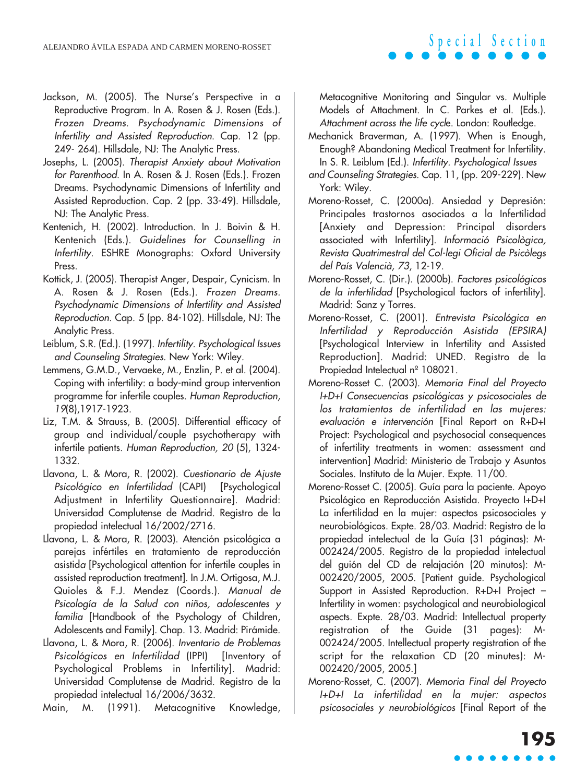- Josephs, L. (2005). Therapist Anxiety about Motivation for Parenthood. In A. Rosen & J. Rosen (Eds.). Frozen Dreams. Psychodynamic Dimensions of Infertility and Assisted Reproduction. Cap. 2 (pp. 33-49). Hillsdale, NJ: The Analytic Press.
- Kentenich, H. (2002). Introduction. In J. Boivin & H. Kentenich (Eds.). Guidelines for Counselling in Infertility. ESHRE Monographs: Oxford University Press.
- Kottick, J. (2005). Therapist Anger, Despair, Cynicism. In A. Rosen & J. Rosen (Eds.). Frozen Dreams. Psychodynamic Dimensions of Infertility and Assisted Reproduction. Cap. 5 (pp. 84-102). Hillsdale, NJ: The Analytic Press.
- Leiblum, S.R. (Ed.). (1997). Infertility. Psychological Issues and Counseling Strategies. New York: Wiley.
- Lemmens, G.M.D., Vervaeke, M., Enzlin, P. et al. (2004). Coping with infertility: a body-mind group intervention programme for infertile couples. Human Reproduction, 19(8),1917-1923.
- Liz, T.M. & Strauss, B. (2005). Differential efficacy of group and individual/couple psychotherapy with infertile patients. Human Reproduction, 20 (5), 1324- 1332.
- Llavona, L. & Mora, R. (2002). Cuestionario de Ajuste Psicológico en Infertilidad (CAPI) [Psychological Adjustment in Infertility Questionnaire]. Madrid: Universidad Complutense de Madrid. Registro de la propiedad intelectual 16/2002/2716.
- Llavona, L. & Mora, R. (2003). Atención psicológica a parejas infértiles en tratamiento de reproducción asistid<sup>a</sup> [Psychological attention for infertile couples in assisted reproduction treatment]. In J.M. Ortigosa, M.J. Quioles & F.J. Mendez (Coords.). Manual de Psicología de la Salud con niños, adolescentes y familia [Handbook of the Psychology of Children, Adolescents and Family]. Chap. 13. Madrid: Pirámide.
- Llavona, L. & Mora, R. (2006). Inventario de Problemas Psicológicos en Infertilidad (IPPI) [Inventory of Psychological Problems in Infertility]. Madrid: Universidad Complutense de Madrid. Registro de la propiedad intelectual 16/2006/3632.

Main, M. (1991). Metacognitive Knowledge,

Metacognitive Monitoring and Singular vs. Multiple Models of Attachment. In C. Parkes et al. (Eds.). Attachment across the life cycle. London: Routledge.

**Special Section**

- Mechanick Braverman, A. (1997). When is Enough, Enough? Abandoning Medical Treatment for Infertility. In S. R. Leiblum (Ed.). Infertility. Psychological Issues
- and Counseling Strategies. Cap. 11, (pp. 209-229). New York: Wiley.
- Moreno-Rosset, C. (2000a). Ansiedad y Depresión: Principales trastornos asociados a la Infertilidad [Anxiety and Depression: Principal disorders associated with Infertility]. Informació Psicològica, Revista Quatrimestral del Col-legi Oficial de Psicòlegs del País Valencià, 73, 12-19.
- Moreno-Rosset, C. (Dir.). (2000b). Factores psicológicos de la infertilidad [Psychological factors of infertility]. Madrid: Sanz y Torres.
- Moreno-Rosset, C. (2001). Entrevista Psicológica en Infertilidad y Reproducción Asistida (EPSIRA) [Psychological Interview in Infertility and Assisted Reproduction]. Madrid: UNED. Registro de la Propiedad Intelectual nº 108021.
- Moreno-Rosset C. (2003). Memoria Final del Proyecto I+D+I Consecuencias psicológicas y psicosociales de los tratamientos de infertilidad en las mujeres: evaluación e intervención [Final Report on R+D+I Project: Psychological and psychosocial consequences of infertility treatments in women: assessment and intervention] Madrid: Ministerio de Trabajo y Asuntos Sociales. Instituto de la Mujer. Expte. 11/00.
- Moreno-Rosset C. (2005). Guía para la paciente. Apoyo Psicológico en Reproducción Asistida. Proyecto I+D+I La infertilidad en la mujer: aspectos psicosociales y neurobiológicos. Expte. 28/03. Madrid: Registro de la propiedad intelectual de la Guía (31 páginas): M-002424/2005. Registro de la propiedad intelectual del guión del CD de relajación (20 minutos): M-002420/2005, 2005. [Patient guide. Psychological Support in Assisted Reproduction. R+D+I Project – Infertility in women: psychological and neurobiological aspects. Expte. 28/03. Madrid: Intellectual property registration of the Guide (31 pages): M-002424/2005. Intellectual property registration of the script for the relaxation CD (20 minutes): M-002420/2005, 2005.]
- Moreno-Rosset, C. (2007). Memoria Final del Proyecto I+D+I La infertilidad en la mujer: aspectos psicosociales y neurobiológicos [Final Report of the